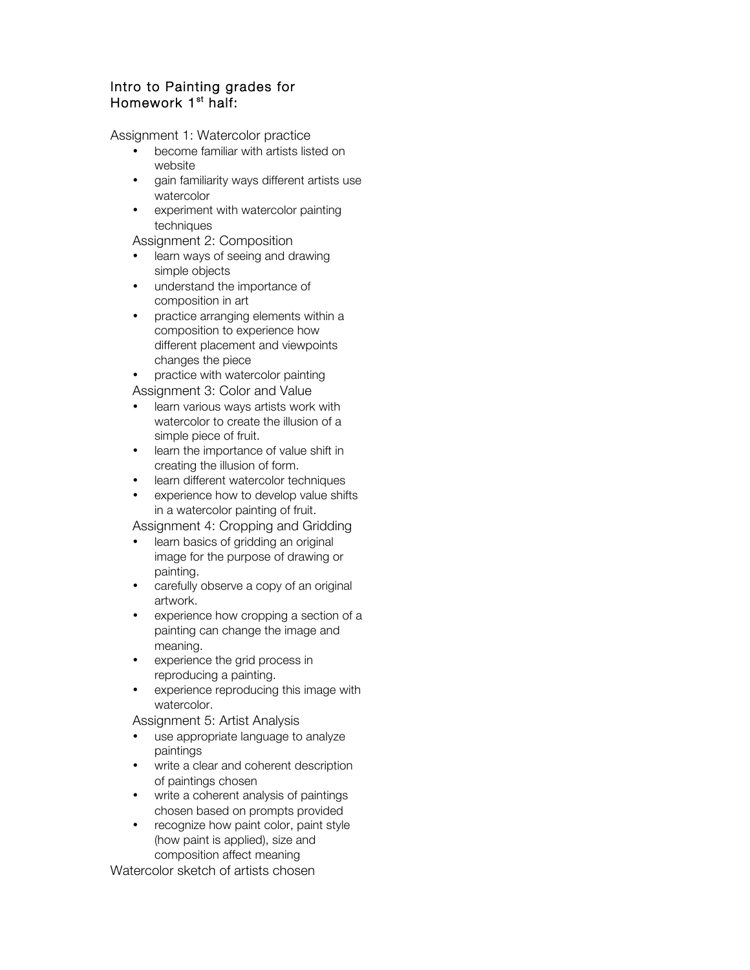## Intro to Painting grades for Homework 1<sup>st</sup> half:

Assignment 1: Watercolor practice

- become familiar with artists listed on website
- gain familiarity ways different artists use watercolor
- experiment with watercolor painting techniques

Assignment 2: Composition

- learn ways of seeing and drawing simple objects
- understand the importance of composition in art
- practice arranging elements within a composition to experience how different placement and viewpoints changes the piece
- practice with watercolor painting Assignment 3: Color and Value
- learn various ways artists work with watercolor to create the illusion of a simple piece of fruit.
- learn the importance of value shift in creating the illusion of form.
- learn different watercolor techniques
- experience how to develop value shifts in a watercolor painting of fruit.

Assignment 4: Cropping and Gridding

- learn basics of gridding an original image for the purpose of drawing or painting.
- carefully observe a copy of an original artwork.
- experience how cropping a section of a painting can change the image and meaning.
- experience the grid process in reproducing a painting.
- experience reproducing this image with watercolor.

Assignment 5: Artist Analysis

- use appropriate language to analyze paintings
- write a clear and coherent description of paintings chosen
- write a coherent analysis of paintings chosen based on prompts provided
- recognize how paint color, paint style (how paint is applied), size and composition affect meaning

Watercolor sketch of artists chosen